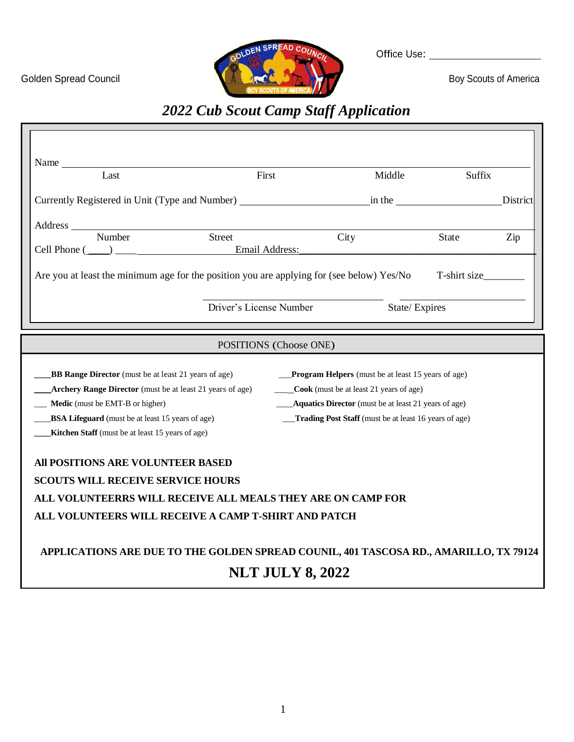OLDEN SPREAD COUNC Golden Spread Council **Boy Scouts of America** 

Office Use:

# *2022 Cub Scout Camp Staff Application*

|                                                           | Middle                                    | Suffix                                                                                                                                                                                        |                                                                                                                                                                                                                                                                                                                                                                                                                                                                                                                                                                                                                                    |
|-----------------------------------------------------------|-------------------------------------------|-----------------------------------------------------------------------------------------------------------------------------------------------------------------------------------------------|------------------------------------------------------------------------------------------------------------------------------------------------------------------------------------------------------------------------------------------------------------------------------------------------------------------------------------------------------------------------------------------------------------------------------------------------------------------------------------------------------------------------------------------------------------------------------------------------------------------------------------|
|                                                           |                                           |                                                                                                                                                                                               | District                                                                                                                                                                                                                                                                                                                                                                                                                                                                                                                                                                                                                           |
|                                                           |                                           |                                                                                                                                                                                               |                                                                                                                                                                                                                                                                                                                                                                                                                                                                                                                                                                                                                                    |
|                                                           | City                                      | State                                                                                                                                                                                         | Zip                                                                                                                                                                                                                                                                                                                                                                                                                                                                                                                                                                                                                                |
|                                                           |                                           |                                                                                                                                                                                               |                                                                                                                                                                                                                                                                                                                                                                                                                                                                                                                                                                                                                                    |
|                                                           |                                           |                                                                                                                                                                                               |                                                                                                                                                                                                                                                                                                                                                                                                                                                                                                                                                                                                                                    |
|                                                           |                                           |                                                                                                                                                                                               |                                                                                                                                                                                                                                                                                                                                                                                                                                                                                                                                                                                                                                    |
| Archery Range Director (must be at least 21 years of age) |                                           |                                                                                                                                                                                               |                                                                                                                                                                                                                                                                                                                                                                                                                                                                                                                                                                                                                                    |
|                                                           |                                           |                                                                                                                                                                                               |                                                                                                                                                                                                                                                                                                                                                                                                                                                                                                                                                                                                                                    |
|                                                           |                                           |                                                                                                                                                                                               |                                                                                                                                                                                                                                                                                                                                                                                                                                                                                                                                                                                                                                    |
|                                                           |                                           |                                                                                                                                                                                               |                                                                                                                                                                                                                                                                                                                                                                                                                                                                                                                                                                                                                                    |
|                                                           |                                           |                                                                                                                                                                                               |                                                                                                                                                                                                                                                                                                                                                                                                                                                                                                                                                                                                                                    |
|                                                           | Email Address:<br>Driver's License Number | POSITIONS (Choose ONE)<br>_____Cook (must be at least 21 years of age)<br>ALL VOLUNTEERRS WILL RECEIVE ALL MEALS THEY ARE ON CAMP FOR<br>ALL VOLUNTEERS WILL RECEIVE A CAMP T-SHIRT AND PATCH | Currently Registered in Unit (Type and Number) in the interest in the two states of the contract of the contract of the contract of the contract of the contract of the contract of the contract of the contract of the contra<br>Are you at least the minimum age for the position you are applying for (see below) Yes/No T-shirt size<br>State/Expires<br><b>__Program Helpers</b> (must be at least 15 years of age)<br>Aquatics Director (must be at least 21 years of age)<br>Trading Post Staff (must be at least 16 years of age)<br>APPLICATIONS ARE DUE TO THE GOLDEN SPREAD COUNIL, 401 TASCOSA RD., AMARILLO, TX 79124 |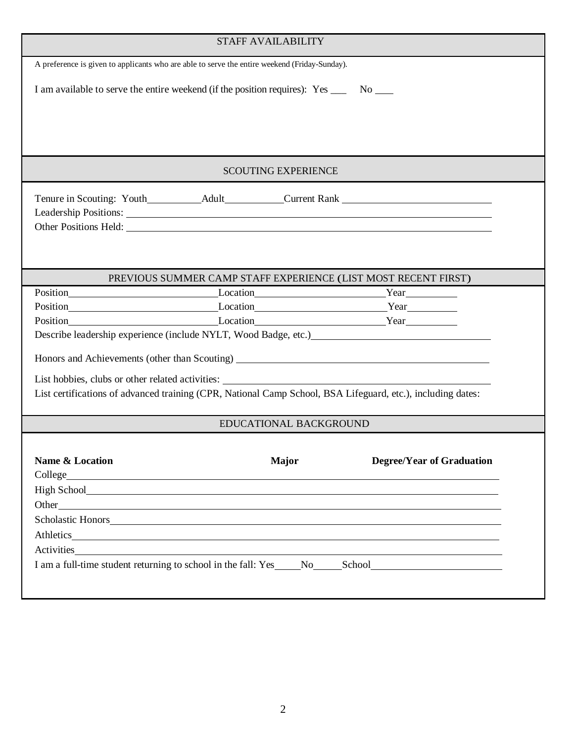| <b>STAFF AVAILABILITY</b>                                                                                                                                                                                                      |  |                            |                                                                                                                                                                                                                                      |  |
|--------------------------------------------------------------------------------------------------------------------------------------------------------------------------------------------------------------------------------|--|----------------------------|--------------------------------------------------------------------------------------------------------------------------------------------------------------------------------------------------------------------------------------|--|
| A preference is given to applicants who are able to serve the entire weekend (Friday-Sunday).                                                                                                                                  |  |                            |                                                                                                                                                                                                                                      |  |
| I am available to serve the entire weekend (if the position requires): Yes ______ No _____                                                                                                                                     |  |                            |                                                                                                                                                                                                                                      |  |
|                                                                                                                                                                                                                                |  |                            |                                                                                                                                                                                                                                      |  |
|                                                                                                                                                                                                                                |  | <b>SCOUTING EXPERIENCE</b> |                                                                                                                                                                                                                                      |  |
|                                                                                                                                                                                                                                |  |                            |                                                                                                                                                                                                                                      |  |
|                                                                                                                                                                                                                                |  |                            |                                                                                                                                                                                                                                      |  |
|                                                                                                                                                                                                                                |  |                            |                                                                                                                                                                                                                                      |  |
|                                                                                                                                                                                                                                |  |                            | PREVIOUS SUMMER CAMP STAFF EXPERIENCE (LIST MOST RECENT FIRST)                                                                                                                                                                       |  |
| Position Year Year Network Position Network Position Network Position Network Position Network Position Network Position Network Position Network Position Network Position Network Position Network Position Network Position |  |                            |                                                                                                                                                                                                                                      |  |
| Position Year Year Network Position Network Position Network Position Network Position Network Position Network Position Network Position Network Position Network Position Network Position Network Position Network Position |  |                            |                                                                                                                                                                                                                                      |  |
|                                                                                                                                                                                                                                |  |                            |                                                                                                                                                                                                                                      |  |
|                                                                                                                                                                                                                                |  |                            | Describe leadership experience (include NYLT, Wood Badge, etc.)                                                                                                                                                                      |  |
|                                                                                                                                                                                                                                |  |                            |                                                                                                                                                                                                                                      |  |
| List hobbies, clubs or other related activities:                                                                                                                                                                               |  |                            |                                                                                                                                                                                                                                      |  |
|                                                                                                                                                                                                                                |  |                            | List certifications of advanced training (CPR, National Camp School, BSA Lifeguard, etc.), including dates:                                                                                                                          |  |
|                                                                                                                                                                                                                                |  | EDUCATIONAL BACKGROUND     |                                                                                                                                                                                                                                      |  |
| Name & Location                                                                                                                                                                                                                |  | <b>Major</b>               | <b>Degree/Year of Graduation</b>                                                                                                                                                                                                     |  |
|                                                                                                                                                                                                                                |  |                            |                                                                                                                                                                                                                                      |  |
|                                                                                                                                                                                                                                |  |                            | Other has a series of the series of the series of the series of the series of the series of the series of the series of the series of the series of the series of the series of the series of the series of the series of the        |  |
|                                                                                                                                                                                                                                |  |                            | Scholastic Honors <b>Executive Contract Contract Contract Contract Contract Contract Contract Contract Contract Contract Contract Contract Contract Contract Contract Contract Contract Contract Contract Contract Contract Cont</b> |  |
|                                                                                                                                                                                                                                |  |                            | Athletics                                                                                                                                                                                                                            |  |
|                                                                                                                                                                                                                                |  |                            | Activities and the contract of the contract of the contract of the contract of the contract of the contract of the contract of the contract of the contract of the contract of the contract of the contract of the contract of       |  |
|                                                                                                                                                                                                                                |  |                            | I am a full-time student returning to school in the fall: Yes No School                                                                                                                                                              |  |
|                                                                                                                                                                                                                                |  |                            |                                                                                                                                                                                                                                      |  |
|                                                                                                                                                                                                                                |  |                            |                                                                                                                                                                                                                                      |  |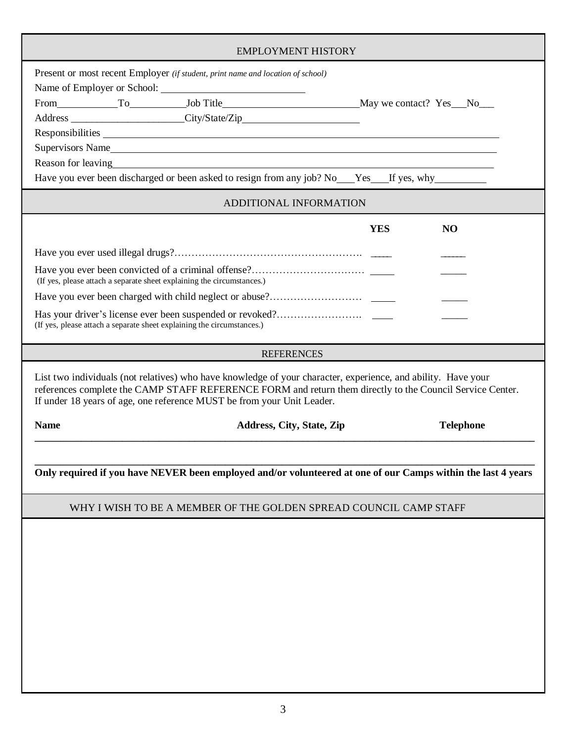| <b>EMPLOYMENT HISTORY</b>                                                                                                                                                                                                                                                                            |                                  |                  |  |  |  |
|------------------------------------------------------------------------------------------------------------------------------------------------------------------------------------------------------------------------------------------------------------------------------------------------------|----------------------------------|------------------|--|--|--|
| Present or most recent Employer (if student, print name and location of school)<br>From To Job Title May we contact? Yes No<br>Address ________________________City/State/Zip__________________________________                                                                                      |                                  |                  |  |  |  |
| Supervisors Name                                                                                                                                                                                                                                                                                     |                                  |                  |  |  |  |
| Reason for leaving<br><u>Reason</u> for leaving                                                                                                                                                                                                                                                      |                                  |                  |  |  |  |
| Have you ever been discharged or been asked to resign from any job? No Yes If yes, why                                                                                                                                                                                                               |                                  |                  |  |  |  |
|                                                                                                                                                                                                                                                                                                      | ADDITIONAL INFORMATION           |                  |  |  |  |
|                                                                                                                                                                                                                                                                                                      | <b>YES</b>                       | <b>NO</b>        |  |  |  |
|                                                                                                                                                                                                                                                                                                      |                                  |                  |  |  |  |
| (If yes, please attach a separate sheet explaining the circumstances.)                                                                                                                                                                                                                               |                                  |                  |  |  |  |
|                                                                                                                                                                                                                                                                                                      |                                  |                  |  |  |  |
| (If yes, please attach a separate sheet explaining the circumstances.)                                                                                                                                                                                                                               |                                  |                  |  |  |  |
|                                                                                                                                                                                                                                                                                                      | <b>REFERENCES</b>                |                  |  |  |  |
| List two individuals (not relatives) who have knowledge of your character, experience, and ability. Have your<br>references complete the CAMP STAFF REFERENCE FORM and return them directly to the Council Service Center.<br>If under 18 years of age, one reference MUST be from your Unit Leader. |                                  |                  |  |  |  |
| <b>Name</b>                                                                                                                                                                                                                                                                                          | <b>Address, City, State, Zip</b> | <b>Telephone</b> |  |  |  |
|                                                                                                                                                                                                                                                                                                      |                                  |                  |  |  |  |
| Only required if you have NEVER been employed and/or volunteered at one of our Camps within the last 4 years                                                                                                                                                                                         |                                  |                  |  |  |  |
| WHY I WISH TO BE A MEMBER OF THE GOLDEN SPREAD COUNCIL CAMP STAFF                                                                                                                                                                                                                                    |                                  |                  |  |  |  |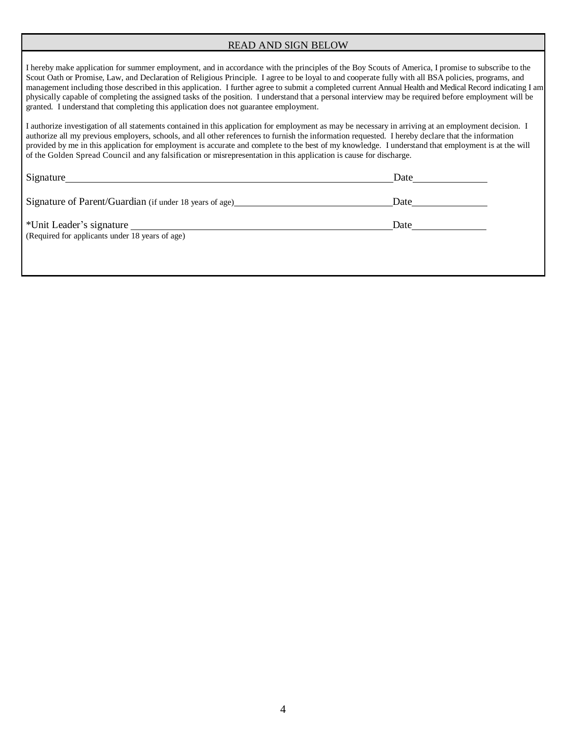### READ AND SIGN BELOW

I hereby make application for summer employment, and in accordance with the principles of the Boy Scouts of America, I promise to subscribe to the Scout Oath or Promise, Law, and Declaration of Religious Principle. I agree to be loyal to and cooperate fully with all BSA policies, programs, and management including those described in this application. I further agree to submit a completed current Annual Health and Medical Record indicating I am physically capable of completing the assigned tasks of the position. I understand that a personal interview may be required before employment will be granted. I understand that completing this application does not guarantee employment.

I authorize investigation of all statements contained in this application for employment as may be necessary in arriving at an employment decision. I authorize all my previous employers, schools, and all other references to furnish the information requested. I hereby declare that the information provided by me in this application for employment is accurate and complete to the best of my knowledge. I understand that employment is at the will of the Golden Spread Council and any falsification or misrepresentation in this application is cause for discharge.

| Signature                                                                                                                                                                                                 | Date |
|-----------------------------------------------------------------------------------------------------------------------------------------------------------------------------------------------------------|------|
| Signature of Parent/Guardian (if under 18 years of age)                                                                                                                                                   | Date |
| *Unit Leader's signature<br><u>a salah sahiji désa di kacamatan Salah Barat, Kabupatén Barat,  Pada Barat,  Pada Barat,  Pada Barat,  Pada Barat, </u><br>(Required for applicants under 18 years of age) | Date |